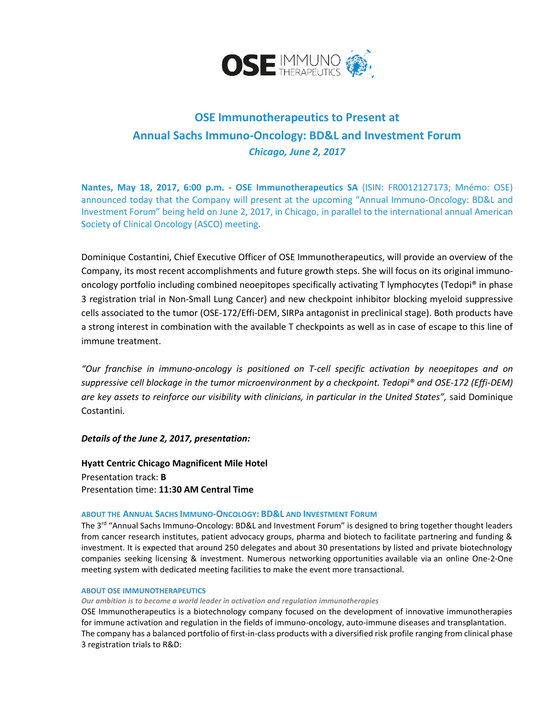

# **OSE Immunotherapeutics to Present at Annual Sachs Immuno-Oncology: BD&L and Investment Forum**  *Chicago, June 2, 2017*

**Nantes, May 18, 2017, 6:00 p.m. - OSE Immunotherapeutics SA** (ISIN: FR0012127173; Mnémo: OSE) announced today that the Company will present at the upcoming "Annual Immuno-Oncology: BD&L and Investment Forum" being held on June 2, 2017, in Chicago, in parallel to the international annual American Society of Clinical Oncology (ASCO) meeting.

Dominique Costantini, Chief Executive Officer of OSE Immunotherapeutics, will provide an overview of the Company, its most recent accomplishments and future growth steps. She will focus on its original immunooncology portfolio including combined neoepitopes specifically activating T lymphocytes (Tedopi® in phase 3 registration trial in Non-Small Lung Cancer) and new checkpoint inhibitor blocking myeloid suppressive cells associated to the tumor (OSE-172/Effi-DEM, SIRPa antagonist in preclinical stage). Both products have a strong interest in combination with the available T checkpoints as well as in case of escape to this line of immune treatment.

*"Our franchise in immuno-oncology is positioned on T-cell specific activation by neoepitopes and on suppressive cell blockage in the tumor microenvironment by a checkpoint. Tedopi® and OSE-172 (Effi-DEM) are key assets to reinforce our visibility with clinicians, in particular in the United States",* said Dominique Costantini.

*Details of the June 2, 2017, presentation:*

**Hyatt Centric Chicago Magnificent Mile Hotel** Presentation track: **B** Presentation time: **11:30 AM Central Time**

## **ABOUT THE ANNUAL SACHS IMMUNO-ONCOLOGY: BD&L AND INVESTMENT FORUM**

The 3<sup>rd</sup> "Annual Sachs Immuno-Oncology: BD&L and Investment Forum" is designed to bring together thought leaders from cancer research institutes, patient advocacy groups, pharma and biotech to facilitate partnering and funding & investment. It is expected that around 250 delegates and about 30 presentations by listed and private biotechnology companies seeking licensing & investment. Numerous networking opportunities available via an online One-2-One meeting system with dedicated meeting facilities to make the event more transactional.

## **ABOUT OSE IMMUNOTHERAPEUTICS**

## *Our ambition is to become a world leader in activation and regulation immunotherapies*

OSE Immunotherapeutics is a biotechnology company focused on the development of innovative immunotherapies for immune activation and regulation in the fields of immuno-oncology, auto-immune diseases and transplantation. The company has a balanced portfolio of first-in-class products with a diversified risk profile ranging from clinical phase 3 registration trials to R&D: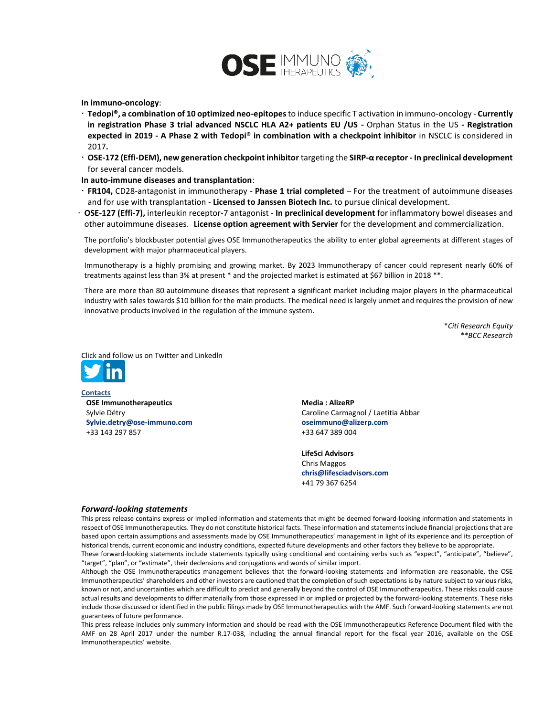

**In immuno-oncology**:

- **Tedopi®, a combination of 10 optimized neo-epitopes** to induce specific T activation in immuno-oncology **Currently in registration Phase 3 trial advanced NSCLC HLA A2+ patients EU /US -** Orphan Status in the US **- Registration expected in 2019 - A Phase 2 with Tedopi® in combination with a checkpoint inhibitor** in NSCLC is considered in 2017**.**
- **OSE-172 (Effi-DEM), new generation checkpoint inhibitor** targeting the **SIRP-α receptor - In preclinical development**  for several cancer models.

#### **In auto-immune diseases and transplantation**:

- **FR104,** CD28-antagonist in immunotherapy **Phase 1 trial completed** For the treatment of autoimmune diseases and for use with transplantation - **Licensed to Janssen Biotech Inc.** to pursue clinical development.
- **OSE-127 (Effi-7),** interleukin receptor-7 antagonist **In preclinical development** for inflammatory bowel diseases and other autoimmune diseases. **License option agreement with Servier** for the development and commercialization.

The portfolio's blockbuster potential gives OSE Immunotherapeutics the ability to enter global agreements at different stages of development with major pharmaceutical players.

Immunotherapy is a highly promising and growing market. By 2023 Immunotherapy of cancer could represent nearly 60% of treatments against less than 3% at present \* and the projected market is estimated at \$67 billion in 2018 \*\*.

There are more than 80 autoimmune diseases that represent a significant market including major players in the pharmaceutical industry with sales towards \$10 billion for the main products. The medical need is largely unmet and requires the provision of new innovative products involved in the regulation of the immune system.

> \**Citi Research Equity \*\*BCC Research*

Click and follow us on Twitter and Linkedln



**Contacts OSE Immunotherapeutics** Sylvie Détry **[Sylvie.detry@ose-immuno.com](mailto:Sylvie.detry@ose-immuno.com)** +33 143 297 857

**Media : AlizeRP** Caroline Carmagnol / Laetitia Abbar **[oseimmuno@alizerp.com](mailto:oseimmuno@alizerp.com)** +33 647 389 004

**LifeSci Advisors**  Chris Maggos **[chris@lifesciadvisors.com](file:///C:/Users/Sylvie%20Détry/AppData/Local/Microsoft/Windows/INetCache/Content.Outlook/JJHRRO4Q/chris@lifesciadvisors.com)** +41 79 367 6254

#### *Forward-looking statements*

This press release contains express or implied information and statements that might be deemed forward-looking information and statements in respect of OSE Immunotherapeutics. They do not constitute historical facts. These information and statements include financial projections that are based upon certain assumptions and assessments made by OSE Immunotherapeutics' management in light of its experience and its perception of historical trends, current economic and industry conditions, expected future developments and other factors they believe to be appropriate.

These forward-looking statements include statements typically using conditional and containing verbs such as "expect", "anticipate", "believe", "target", "plan", or "estimate", their declensions and conjugations and words of similar import.

Although the OSE Immunotherapeutics management believes that the forward-looking statements and information are reasonable, the OSE Immunotherapeutics' shareholders and other investors are cautioned that the completion of such expectations is by nature subject to various risks, known or not, and uncertainties which are difficult to predict and generally beyond the control of OSE Immunotherapeutics. These risks could cause actual results and developments to differ materially from those expressed in or implied or projected by the forward-looking statements. These risks include those discussed or identified in the public filings made by OSE Immunotherapeutics with the AMF. Such forward-looking statements are not guarantees of future performance.

This press release includes only summary information and should be read with the OSE Immunotherapeutics Reference Document filed with the AMF on 28 April 2017 under the number R.17-038, including the annual financial report for the fiscal year 2016, available on the OSE Immunotherapeutics' website.